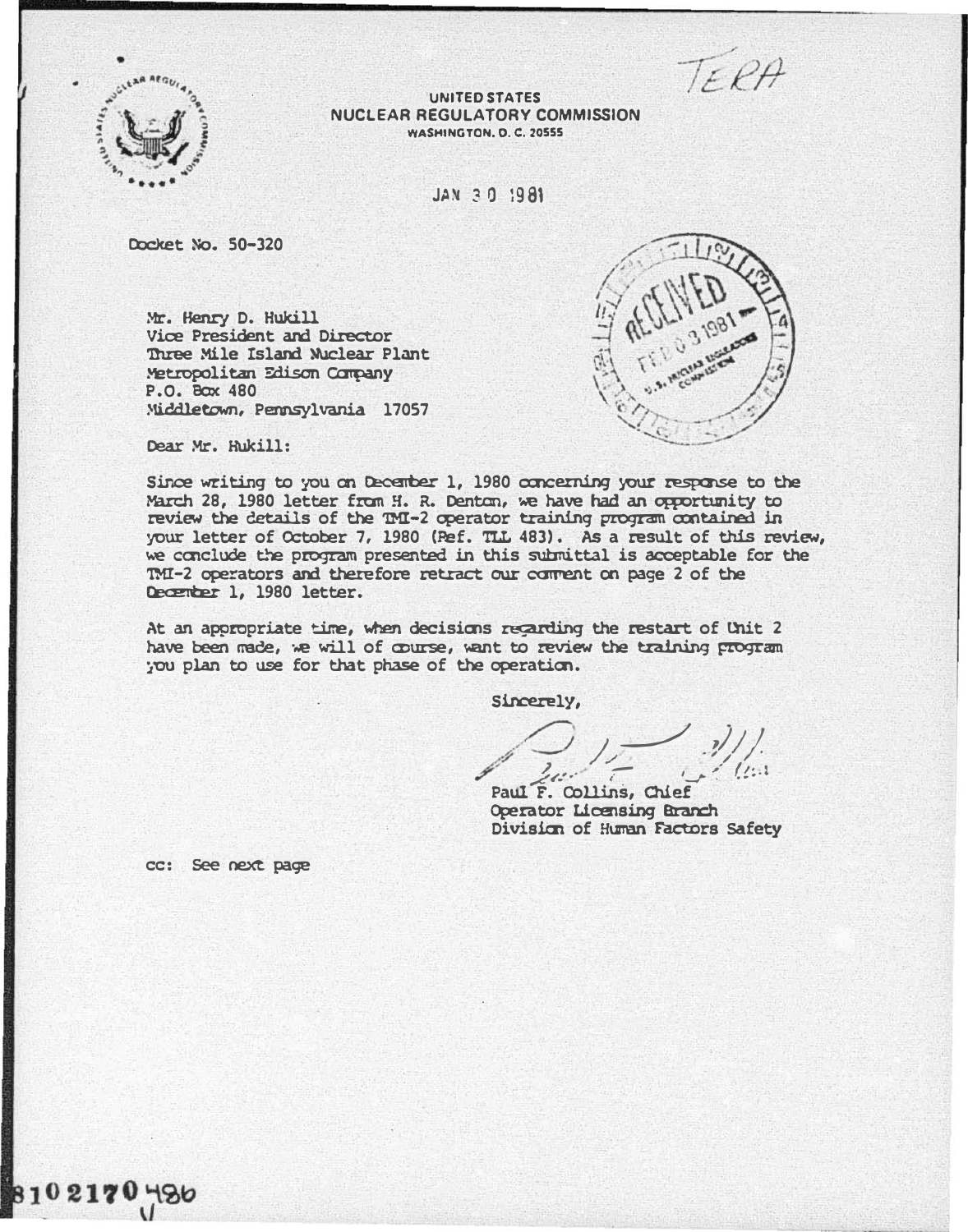TEPA



UNITED STATES NUCLEAR REGULATORY COMMISSION WASHINGTON, D. C. 20555

JAN 30 1981

Docket No. 50-320

Mr. Henry D. Hukill Vice President and Director '1hree Mile Island �ear Plant Metropolitan Edison Company P.O. Box 480 Middletown, Pennsylvania 17057



Dear Mr. Hukill:

Since writing to you on December 1, 1980 concerning your response to the March 28, 1980 letter from H. R. Denton, we have had an opportunity to review the details of the TMI-2 operator training program contained in your letter of October 7, 1980 (�f. TLL 483). As a result of this review, we conclude the program presented in this submittal is acceptable for the '00 -2 operators and therefore retract our cament oo page 2 of the December 1, 1980 letter.

At an appropriate time, when decisions recarding the restart of Unit 2 have been made, we will of course, want to review the training program. ; ou plan to use for that phase of the operation.

Sincerely,

 $\overline{\phantom{a}}$  $\prime$   $\prime$   $\prime$  $\mathscr{J}$ // .�/ / ��\_,.. <sup>I</sup>'....r � (t�-!

Paul F. Collins, Chief Operator Licensing Branch Divisim of Huran Factors Safety

cc: See next page

810217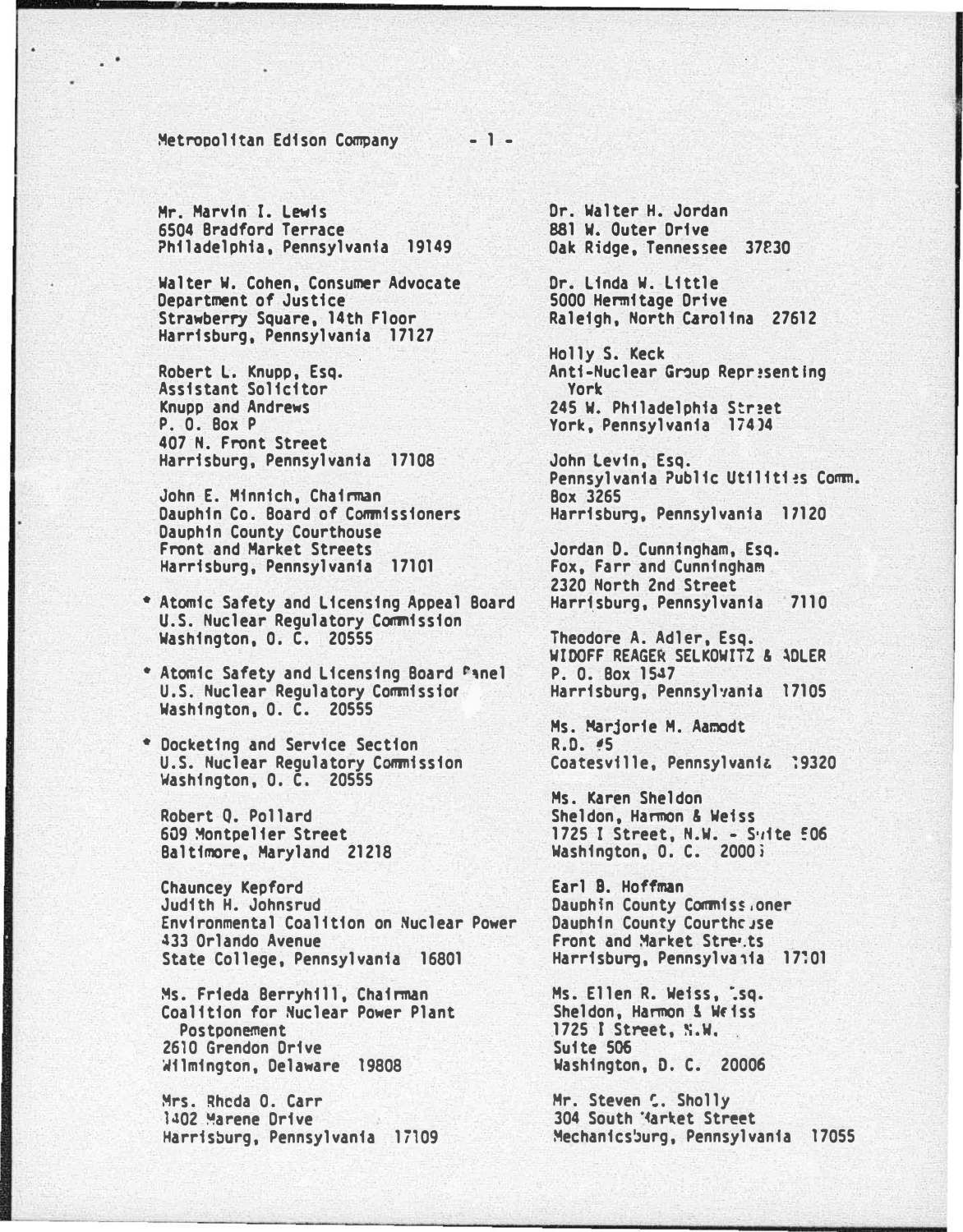Metropolitan Edison Company

Mr. Marvin I. Lewis 6504 Bradford Terrace Philadelphia, Pennsylvania 19149

Walter W. Cohen, Consumer Advocate Department of Justice Strawberry Square, 14th Floor Harrisburg, Pennsylvania 17127

Robert L. Knupp, Esq. Assistant Solicitor **Knupp and Andrews** P. O. Box P 407 N. Front Street Harrisburg, Pennsylvania 17108

John E. Minnich, Chairman Dauphin Co. Board of Commissioners Dauphin County Courthouse Front and Market Streets Harrisburg, Pennsylvania 17101

\* Atomic Safety and Licensing Appeal Board U.S. Nuclear Regulatory Commission Washington, O. C. 20555

\* Atomic Safety and Licensing Board Fanel U.S. Nuclear Regulatory Commission Washington, O. C. 20555

\* Docketing and Service Section U.S. Nuclear Regulatory Commission Washington, O. C. 20555

Robert O. Pollard 609 Montpelier Street Baltimore, Maryland 21218

**Chauncey Kepford** Judith H. Johnsrud Environmental Coalition on Nuclear Power 433 Orlando Avenue State College, Pennsylvania 16801

Ms. Frieda Berryhill, Chairman Coalition for Nuclear Power Plant Postponement 2610 Grendon Drive Wilmington, Delaware 19808

Mrs. Rhoda O. Carr 1402 Marene Drive Harrisburg, Pennsylvania 17109

Dr. Walter H. Jordan 881 W. Outer Drive Oak Ridge, Tennessee 37830

Dr. Linda W. Little 5000 Hermitage Drive Raleigh, North Carolina 27612

Holly S. Keck Anti-Nuclear Group Representing York 245 W. Philadelphia Street York, Pennsylvania 17404

John Levin, Esq. Pennsylvania Public Utilities Comm. **Box 3265** Harrisburg, Pennsylvania 17120

Jordan D. Cunningham, Esq. Fox, Farr and Cunningham 2320 North 2nd Street Harrisburg, Pennsylvania 7110

Theodore A. Adler, Esq. WIDOFF REAGER SELKOWITZ & ADLER P. O. Box 1547 Harrisburg, Pennsylvania 17105

Ms. Marjorie M. Aamodt R.D. #5 Coatesville, Pennsylvania 19320

Ms. Karen Sheldon Sheldon, Harmon & Weiss 1725 I Street, N.W. - Suite 506 Washington, O. C. 2000;

Earl B. Hoffman Dauphin County Commiss.oner Dauphin County Courthcuse Front and Market Stre.ts Harrisburg, Pennsylvaiia 17:01

Ms. Ellen R. Weiss, .sq. Sheldon, Harmon & Weiss 1725 I Street, N.W. Suite 506 Washington, D. C. 20006

Mr. Steven S. Sholly 304 South 'Market Street Mechanicsburg, Pennsylvania 17055

 $-1 -$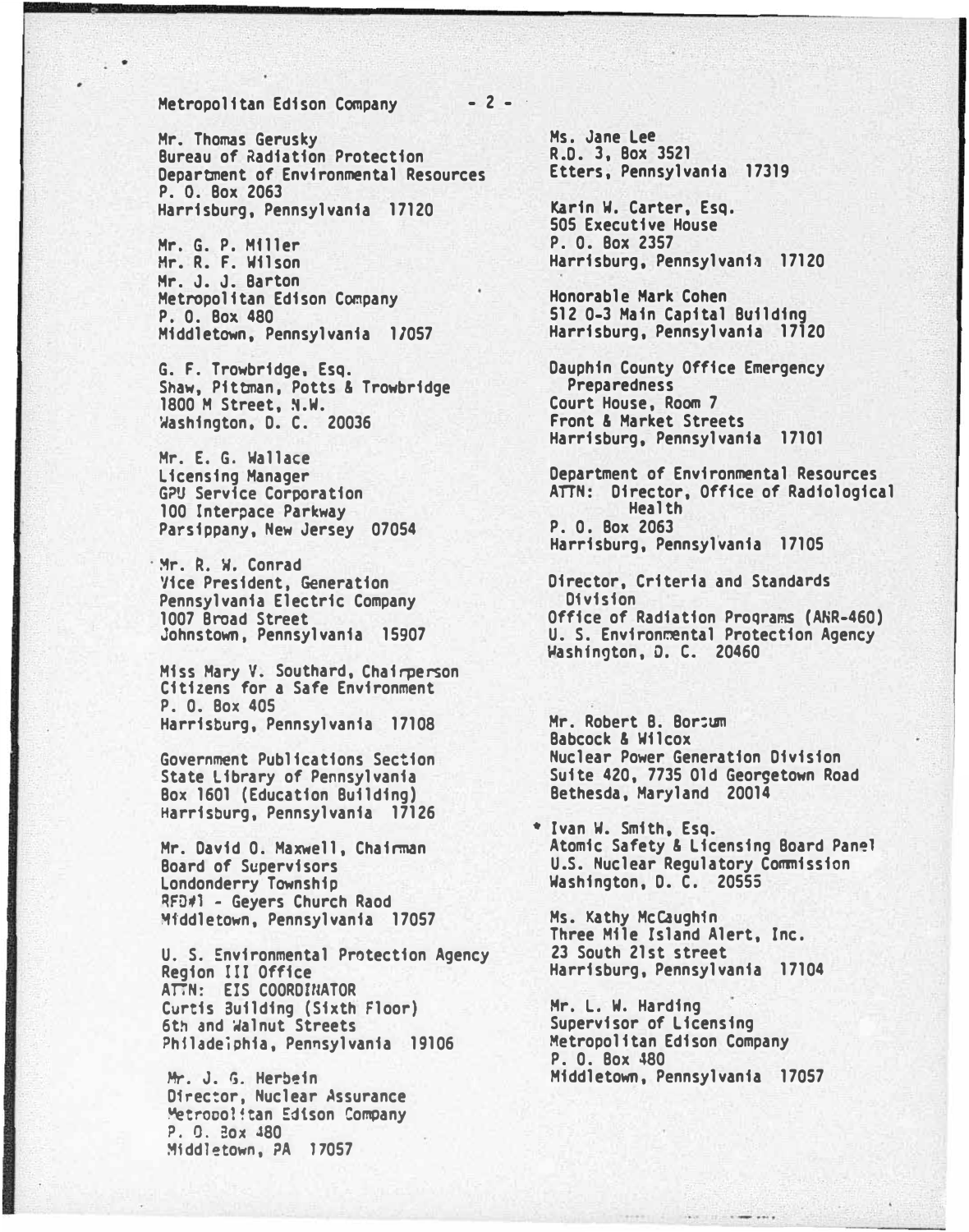## Metropolitan Edison Company - 2 -

Mr. Thomas Gerusky Bureau of Radiation Protection Department of Environmental Resources P. D. Box 2063 Harrisburg, Pennsylvania 17120

Mr. G. P. Mfller Hr. R. F. Wilson Hr. J. J. Barton Metropolitan Edison Company P. 0. Box 480 Middletown, Pennsylvania 17057

G. F. Trowbridge, Esq. Shaw, Pittman, Potts & Trowbridge 1800 M Street, �.w. Washington, D. C. 20036

Mr. E. G. Wallace licensing Manager G?U Service Corporation 100 Interpace Parkway Parsippany, New Jersey 07054

· �r. �. W. Conrad Vice President, Generation Pennsylvania Electric Company 1007 Broad Street Johnstown, Pennsylvania 15907

Miss Mary V. Southard, Chairperson Citizens for a Safe Environment P. 0. Box 405 Harrisburg, Pennsylvania 17108

Government Publications Section State Library of Pennsylvania Box 1601 (Education Building) Harrisburg, Pennsylvania 17126

Mr. David 0. Maxwell, Chainman Board of Supervisors londonderry Township RFD�l - Geyers Church Raod �tddletown, Pennsylvania 17057

U. S. Environmental Protection Agency Region III Office ATTN: EIS COORDINATOR Curtis Building (Sixth Floor) 6th and �alnut Streets Philadeiphia, Pennsylvania 19106

Mr. J. G. Herbein Dfrec:or, Nuclear Assurance Metropolitan Edison Company P. O. Box 480 �iddletown, ?A 17057

Ms. Jane Lee R.D. 3, Box 3521 Etters, Pennsylvania 17319

Karin W. Carter, Esq. 505 Executive House P. 0. Box 2357 Harrisburg, Pennsylvania 17120

Honorable Hark Cohen 512 0-3 Main Capital Building Harrisburg, Pennsylvania 17120

Dauphin County Office Emergency **Preparedness** Court House, Room 7 Front & Market Streets Harrisburg, Pennsylvania 17101

Department of Environmental Resources ATTN: Director, Office of Radiological Health P. 0. Box 2063 Harrisburg, Pennsylvania 17105

Director, Criteria and Standards Division Office of Radiation Proqrams (ANR-460) U. S. Environmental Protection Agency �ashfngton, 0. c. 20460

Mr. Robert B. Bor:um Babcock & Wilcox Nuclear Power Generation Division Suite 420, 7735 Old Georgetown Road Bethesda, Maryland 20014

\* Ivan W. Smith, Esq. Atomic Safety & Licensing Board Panel U.S. Nuclear Regulatory Commission Washington, D. C. 20555

Ms. Kathy McCaughfn Three Mile Island Alert, Inc. 23 South 21st street Harrisburg, Pennsylvania 17104

Hr. L. w. Harding Supervisor of Licensing Metropolitan Edison Company P. 0. Box 480 Middletown, Pennsylvania 17057